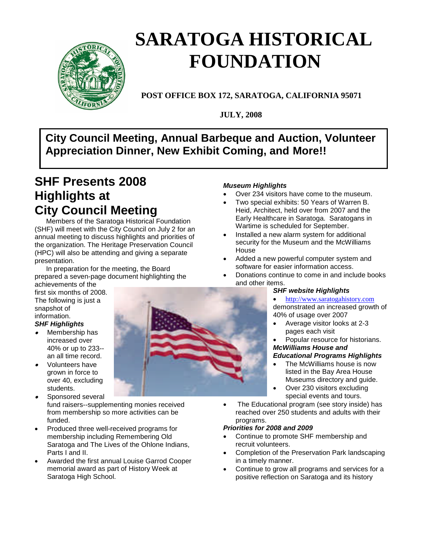

# **SARATOGA HISTORICAL FOUNDATION**

**POST OFFICE BOX 172, SARATOGA, CALIFORNIA 95071**

**JULY, 2008**

## **/ Appreciation Dinner, New Exhibit Coming, and More!!City Council Meeting, Annual Barbeque and Auction, Volunteer**

# **SHF Presents 2008 Highlights at City Council Meeting**

Members of the Saratoga Historical Foundation (SHF) will meet with the City Council on July 2 for an annual meeting to discuss highlights and priorities of the organization. The Heritage Preservation Council (HPC) will also be attending and giving a separate presentation.

In preparation for the meeting, the Board prepared a seven-page document highlighting the achievements of the

first six months of 2008. The following is just a snapshot of information.

## *SHF Highlights*

- o Membership has increased over 40% or up to 233- an all time record.
- . Volunteers have grown in force to over 40, excluding students.
- 0 Sponsored several fund raisers--supplementing monies received from membership so more activities can be funded.
- Produced three well-received programs for membership including Remembering Old Saratoga and The Lives of the Ohlone Indians, Parts I and II.
- Awarded the first annual Louise Garrod Cooper memorial award as part of History Week at Saratoga High School.

#### *Museum Highlights*

- Over 234 visitors have come to the museum.
- Two special exhibits: 50 Years of Warren B. Heid, Architect, held over from 2007 and the Early Healthcare in Saratoga. Saratogans in Wartime is scheduled for September.
- Installed a new alarm system for additional security for the Museum and the McWilliams House
- Added a new powerful computer system and software for easier information access.
- Donations continue to come in and include books and other items.

#### *SHF website Highlights*

[http://www.saratogahistory.com](http://www.saratogahistory.com/)

demonstrated an increased growth of 40% of usage over 2007

 Average visitor looks at 2-3 pages each visit

#### Popular resource for historians. *McWilliams House and*

#### *Educational Programs Highlights*

- The McWilliams house is now listed in the Bay Area House Museums directory and guide.
- Over 230 visitors excluding special events and tours.
- The Educational program (see story inside) has reached over 250 students and adults with their programs.

#### *Priorities for 2008 and 2009*

- Continue to promote SHF membership and recruit volunteers.
- Completion of the Preservation Park landscaping in a timely manner.
- Continue to grow all programs and services for a positive reflection on Saratoga and its history

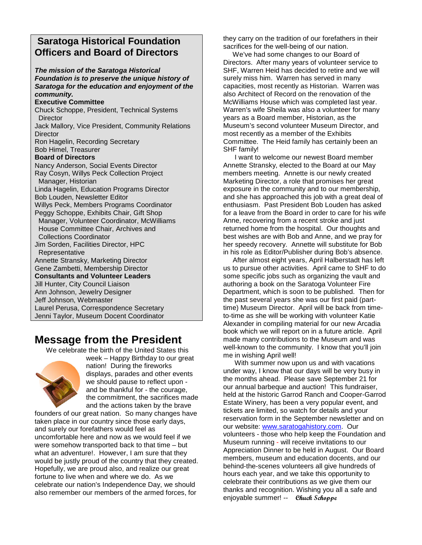### **Saratoga Historical Foundation Officers and Board of Directors**

*The mission of the Saratoga Historical Foundation is to preserve the unique history of Saratoga for the education and enjoyment of the community.*

#### **Executive Committee**

Chuck Schoppe, President, Technical Systems **Director** Jack Mallory, Vice President, Community Relations **Director** Ron Hagelin, Recording Secretary Bob Himel, Treasurer **Board of Directors** Nancy Anderson, Social Events Director Ray Cosyn, Willys Peck Collection Project Manager, Historian Linda Hagelin, Education Programs Director Bob Louden, Newsletter Editor Willys Peck, Members Programs Coordinator Peggy Schoppe, Exhibits Chair, Gift Shop Manager, Volunteer Coordinator, McWilliams House Committee Chair, Archives and Collections Coordinator Jim Sorden, Facilities Director, HPC Representative Annette Stransky, Marketing Director Gene Zambetti, Membership Director **Consultants and Volunteer Leaders** Jill Hunter, City Council Liaison Ann Johnson, Jewelry Designer Jeff Johnson, Webmaster Laurel Perusa, Correspondence Secretary Jenni Taylor, Museum Docent Coordinator

## **Message from the President**

We celebrate the birth of the United States this



week – Happy Birthday to our great nation! During the fireworks displays, parades and other events we should pause to reflect upon and be thankful for - the courage, the commitment, the sacrifices made and the actions taken by the brave

founders of our great nation. So many changes have taken place in our country since those early days, and surely our forefathers would feel as uncomfortable here and now as we would feel if we were somehow transported back to that time – but what an adventure!. However, I am sure that they would be justly proud of the country that they created. Hopefully, we are proud also, and realize our great fortune to live when and where we do. As we celebrate our nation's Independence Day, we should also remember our members of the armed forces, for

they carry on the tradition of our forefathers in their sacrifices for the well-being of our nation.

We've had some changes to our Board of Directors. After many years of volunteer service to SHF, Warren Heid has decided to retire and we will surely miss him. Warren has served in many capacities, most recently as Historian. Warren was also Architect of Record on the renovation of the McWilliams House which was completed last year. Warren's wife Sheila was also a volunteer for many years as a Board member, Historian, as the Museum's second volunteer Museum Director, and most recently as a member of the Exhibits Committee. The Heid family has certainly been an SHF family!

I want to welcome our newest Board member Annette Stransky, elected to the Board at our May members meeting. Annette is our newly created Marketing Director, a role that promises her great exposure in the community and to our membership, and she has approached this job with a great deal of enthusiasm. Past President Bob Louden has asked for a leave from the Board in order to care for his wife Anne, recovering from a recent stroke and just returned home from the hospital. Our thoughts and best wishes are with Bob and Anne, and we pray for her speedy recovery. Annette will substitute for Bob in his role as Editor/Publisher during Bob's absence.

After almost eight years, April Halberstadt has left us to pursue other activities. April came to SHF to do some specific jobs such as organizing the vault and authoring a book on the Saratoga Volunteer Fire Department, which is soon to be published. Then for the past several years she was our first paid (parttime) Museum Director. April will be back from timeto-time as she will be working with volunteer Katie Alexander in compiling material for our new Arcadia book which we will report on in a future article. April made many contributions to the Museum and was well-known to the community. I know that you'll join me in wishing April well!

With summer now upon us and with vacations under way, I know that our days will be very busy in the months ahead. Please save September 21 for our annual barbeque and auction! This fundraiser, held at the historic Garrod Ranch and Cooper-Garrod Estate Winery, has been a very popular event, and tickets are limited, so watch for details and your reservation form in the September newsletter and on our website: [www.saratogahistory.com.](http://www.saratogahistory.com/) Our volunteers - those who help keep the Foundation and Museum running - will receive invitations to our Appreciation Dinner to be held in August. Our Board members, museum and education docents, and our behind-the-scenes volunteers all give hundreds of hours each year, and we take this opportunity to celebrate their contributions as we give them our thanks and recognition. Wishing you all a safe and enjoyable summer! -- **Chuck Schoppe**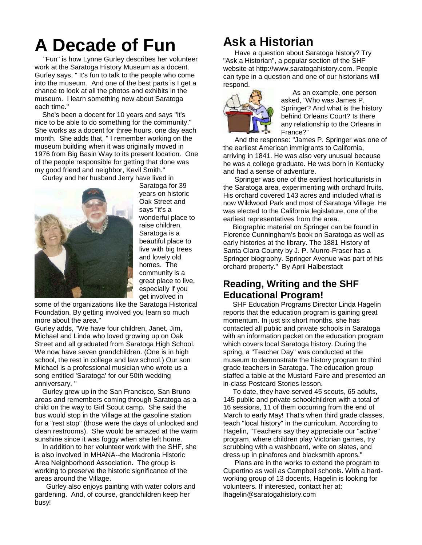# **A Decade of Fun**

"Fun" is how Lynne Gurley describes her volunteer work at the Saratoga History Museum as a docent. Gurley says, " It's fun to talk to the people who come into the museum. And one of the best parts is I get a chance to look at all the photos and exhibits in the museum. I learn something new about Saratoga each time."

She's been a docent for 10 years and says "it's nice to be able to do something for the community." She works as a docent for three hours, one day each month. She adds that, " I remember working on the museum building when it was originally moved in 1976 from Big Basin Way to its present location. One of the people responsible for getting that done was my good friend and neighbor, Kevil Smith."

Gurley and her husband Jerry have lived in



Saratoga for 39 years on historic Oak Street and says "it's a wonderful place to raise children. Saratoga is a beautiful place to live with big trees and lovely old homes. The community is a great place to live, especially if you get involved in

some of the organizations like the Saratoga Historical Foundation. By getting involved you learn so much more about the area."

Gurley adds, "We have four children, Janet, Jim, Michael and Linda who loved growing up on Oak Street and all graduated from Saratoga High School. We now have seven grandchildren. (One is in high school, the rest in college and law school.) Our son Michael is a professional musician who wrote us a song entitled 'Saratoga' for our 50th wedding anniversary. "

Gurley grew up in the San Francisco, San Bruno areas and remembers coming through Saratoga as a child on the way to Girl Scout camp. She said the bus would stop in the Village at the gasoline station for a "rest stop" (those were the days of unlocked and clean restrooms). She would be amazed at the warm sunshine since it was foggy when she left home.

In addition to her volunteer work with the SHF, she is also involved in MHANA--the Madronia Historic Area Neighborhood Association. The group is working to preserve the historic significance of the areas around the Village.

Gurley also enjoys painting with water colors and gardening. And, of course, grandchildren keep her busy!

# **Ask a Historian**

Have a question about Saratoga history? Try "Ask a Historian", a popular section of the SHF website at http://www.saratogahistory.com. People can type in a question and one of our historians will respond.



As an example, one person asked, "Who was James P. Springer? And what is the history behind Orleans Court? Is there any relationship to the Orleans in France?"

And the response: "James P. Springer was one of the earliest American immigrants to California, arriving in 1841. He was also very unusual because he was a college graduate. He was born in Kentucky and had a sense of adventure.

Springer was one of the earliest horticulturists in the Saratoga area, experimenting with orchard fruits. His orchard covered 143 acres and included what is now Wildwood Park and most of Saratoga Village. He was elected to the California legislature, one of the earliest representatives from the area.

Biographic material on Springer can be found in Florence Cunningham's book on Saratoga as well as early histories at the library. The 1881 History of Santa Clara County by J. P. Munro-Fraser has a Springer biography. Springer Avenue was part of his orchard property." By April Halberstadt

#### **Reading, Writing and the SHF Educational Program!**

SHF Education Programs Director Linda Hagelin reports that the education program is gaining great momentum. In just six short months, she has contacted all public and private schools in Saratoga with an information packet on the education program which covers local Saratoga history. During the spring, a "Teacher Day" was conducted at the museum to demonstrate the history program to third grade teachers in Saratoga. The education group staffed a table at the Mustard Faire and presented an in-class Postcard Stories lesson.

To date, they have served 45 scouts, 65 adults, 145 public and private schoolchildren with a total of 16 sessions, 11 of them occurring from the end of March to early May! That's when third grade classes, teach "local history" in the curriculum. According to Hagelin, "Teachers say they appreciate our "active" program, where children play Victorian games, try scrubbing with a washboard, write on slates, and dress up in pinafores and blacksmith aprons."

Plans are in the works to extend the program to Cupertino as well as Campbell schools. With a hardworking group of 13 docents, Hagelin is looking for volunteers. If interested, contact her at: lhagelin@saratogahistory.com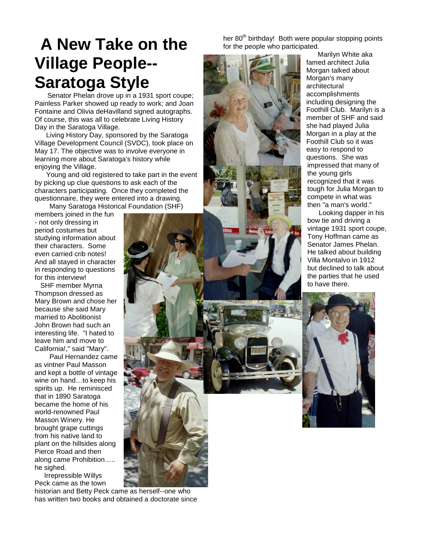# **A New Take on the Village People-- Saratoga Style**

Senator Phelan drove up in a 1931 sport coupe: Painless Parker showed up ready to work; and Joan Fontaine and Olivia deHavilland signed autographs. Of course, this was all to celebrate Living History Day in the Saratoga Village.

Living History Day, sponsored by the Saratoga Village Development Council (SVDC), took place on May 17. The objective was to involve everyone in learning more about Saratoga's history while enjoying the Village.

Young and old registered to take part in the event by picking up clue questions to ask each of the characters participating. Once they completed the questionnaire, they were entered into a drawing.

Many Saratoga Historical Foundation (SHF)

members joined in the fun - not only dressing in period costumes but studying information about their characters. Some even carried crib notes! And all stayed in character in responding to questions for this interview!

SHF member Myrna Thompson dressed as Mary Brown and chose her because she said Mary married to Abolitionist John Brown had such an interesting life. "I hated to leave him and move to California!," said "Mary".

Paul Hernandez came as vintner Paul Masson and kept a bottle of vintage wine on hand...to keep his spirits up. He reminisced that in 1890 Saratoga became the home of his world-renowned Paul Masson Winery. He brought grape cuttings from his native land to plant on the hillsides along Pierce Road and then along came Prohibition….. he sighed.

Irrepressible Willys Peck came as the town

historian and Betty Peck came as herself--one who has written two books and obtained a doctorate since her 80<sup>th</sup> birthday! Both were popular stopping points for the people who participated.



Marilyn White aka famed architect Julia Morgan talked about Morgan's many architectural accomplishments including designing the Foothill Club. Marilyn is a member of SHF and said she had played Julia Morgan in a play at the Foothill Club so it was easy to respond to questions. She was impressed that many of the young girls recognized that it was tough for Julia Morgan to compete in what was then "a man's world."

Looking dapper in his bow tie and driving a vintage 1931 sport coupe, Tony Hoffman came as Senator James Phelan. He talked about building Villa Montalvo in 1912 but declined to talk about the parties that he used to have there.

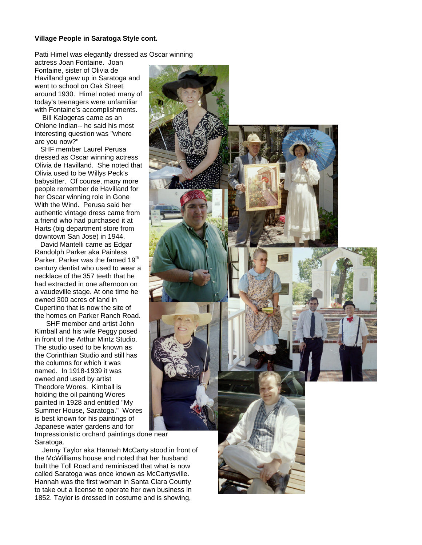#### **Village People in Saratoga Style cont.**

Patti Himel was elegantly dressed as Oscar winning

actress Joan Fontaine. Joan Fontaine, sister of Olivia de Havilland grew up in Saratoga and went to school on Oak Street around 1930. Himel noted many of today's teenagers were unfamiliar with Fontaine's accomplishments.

Bill Kalogeras came as an Ohlone Indian-- he said his most interesting question was "where are you now?"

SHF member Laurel Perusa dressed as Oscar winning actress Olivia de Havilland. She noted that Olivia used to be Willys Peck's babysitter. Of course, many more people remember de Havilland for her Oscar winning role in Gone With the Wind. Perusa said her authentic vintage dress came from a friend who had purchased it at Harts (big department store from downtown San Jose) in 1944.

David Mantelli came as Edgar Randolph Parker aka Painless Parker. Parker was the famed 19<sup>th</sup> century dentist who used to wear a necklace of the 357 teeth that he had extracted in one afternoon on a vaudeville stage. At one time he owned 300 acres of land in Cupertino that is now the site of the homes on Parker Ranch Road.

SHF member and artist John Kimball and his wife Peggy posed in front of the Arthur Mintz Studio. The studio used to be known as the Corinthian Studio and still has the columns for which it was named. In 1918-1939 it was owned and used by artist Theodore Wores. Kimball is holding the oil painting Wores painted in 1928 and entitled "My Summer House, Saratoga." Wores is best known for his paintings of Japanese water gardens and for

Impressionistic orchard paintings done near Saratoga.

Jenny Taylor aka Hannah McCarty stood in front of the McWilliams house and noted that her husband built the Toll Road and reminisced that what is now called Saratoga was once known as McCartysville. Hannah was the first woman in Santa Clara County to take out a license to operate her own business in 1852. Taylor is dressed in costume and is showing,

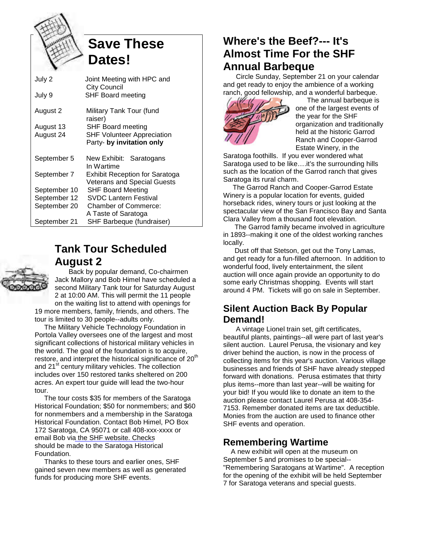

# **Save These Dates!**

| July 2       | Joint Meeting with HPC and<br><b>City Council</b>                           |
|--------------|-----------------------------------------------------------------------------|
| July 9       | <b>SHF Board meeting</b>                                                    |
| August 2     | Military Tank Tour (fund<br>raiser)                                         |
| August 13    | SHF Board meeting                                                           |
| August 24    | <b>SHF Volunteer Appreciation</b><br>Party- by invitation only              |
| September 5  | New Exhibit: Saratogans<br>In Wartime                                       |
| September 7  | <b>Exhibit Reception for Saratoga</b><br><b>Veterans and Special Guests</b> |
| September 10 | <b>SHF Board Meeting</b>                                                    |
| September 12 | <b>SVDC Lantern Festival</b>                                                |
| September 20 | <b>Chamber of Commerce:</b>                                                 |
|              | A Taste of Saratoga                                                         |
| September 21 | SHF Barbeque (fundraiser)                                                   |

## **Tank Tour Scheduled August 2**



Back by popular demand, Co-chairmen Jack Mallory and Bob Himel have scheduled a second Military Tank tour for Saturday August 2 at 10:00 AM. This will permit the 11 people on the waiting list to attend with openings for 19 more members, family, friends, and others. The tour is limited to 30 people--adults only.

The Military Vehicle Technology Foundation in Portola Valley oversees one of the largest and most significant collections of historical military vehicles in the world. The goal of the foundation is to acquire, restore, and interpret the historical significance of 20<sup>th</sup> and 21<sup>st</sup> century military vehicles. The collection includes over 150 restored tanks sheltered on 200 acres. An expert tour guide will lead the two-hour tour.

The tour costs \$35 for members of the Saratoga Historical Foundation; \$50 for nonmembers; and \$60 for nonmembers and a membership in the Saratoga Historical Foundation. Contact Bob Himel, PO Box 172 Saratoga, CA 95071 or call 408-xxx-xxxx or email Bob vi[a the SHF website](http://us.mc525.mail.yahoo.com/ym/Compose?To=roberthimel@comcast.net). Checks should be made to the Saratoga Historical Foundation.

Thanks to these tours and earlier ones, SHF gained seven new members as well as generated funds for producing more SHF events.

## **Where's the Beef?--- It's Almost Time For the SHF Annual Barbeque**

Circle Sunday, September 21 on your calendar and get ready to enjoy the ambience of a working ranch, good fellowship, and a wonderful barbeque.



The annual barbeque is one of the largest events of the year for the SHF organization and traditionally held at the historic Garrod Ranch and Cooper-Garrod Estate Winery, in the

Saratoga foothills. If you ever wondered what Saratoga used to be like....it's the surrounding hills such as the location of the Garrod ranch that gives Saratoga its rural charm.

The Garrod Ranch and Cooper-Garrod Estate Winery is a popular location for events, guided horseback rides, winery tours or just looking at the spectacular view of the San Francisco Bay and Santa Clara Valley from a thousand foot elevation.

The Garrod family became involved in agriculture in 1893--making it one of the oldest working ranches locally.

Dust off that Stetson, get out the Tony Lamas, and get ready for a fun-filled afternoon. In addition to wonderful food, lively entertainment, the silent auction will once again provide an opportunity to do some early Christmas shopping. Events will start around 4 PM. Tickets will go on sale in September.

### **Silent Auction Back By Popular Demand!**

A vintage Lionel train set, gift certificates, beautiful plants, paintings--all were part of last year's silent auction. Laurel Perusa, the visionary and key driver behind the auction, is now in the process of collecting items for this year's auction. Various village businesses and friends of SHF have already stepped forward with donations. Perusa estimates that thirty plus items--more than last year--will be waiting for your bid! If you would like to donate an item to the auction please contact Laurel Perusa at 408-354- 7153. Remember donated items are tax deductible. Monies from the auction are used to finance other SHF events and operation.

### **Remembering Wartime**

A new exhibit will open at the museum on September 5 and promises to be special-- "Remembering Saratogans at Wartime". A reception for the opening of the exhibit will be held September 7 for Saratoga veterans and special guests.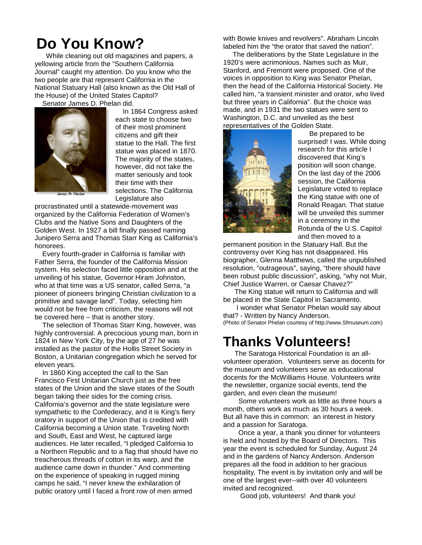# **Do You Know?**

While cleaning out old magazines and papers, a yellowing article from the "Southern California Journal" caught my attention. Do you know who the two people are that represent California in the National Statuary Hall (also known as the Old Hall of the House) of the United States Capitol?

Senator James D. Phelan did.



In 1864 Congress asked each state to choose two of their most prominent citizens and gift their statue to the Hall. The first statue was placed in 1870. The majority of the states, however, did not take the matter seriously and took their time with their selections. The California Legislature also

procrastinated until a statewide-movement was organized by the California Federation of Women's Clubs and the Native Sons and Daughters of the Golden West. In 1927 a bill finally passed naming Junipero Serra and Thomas Starr King as California's honorees.

Every fourth-grader in California is familiar with Father Serra, the founder of the California Mission system. His selection faced little opposition and at the unveiling of his statue, Governor Hiram Johnston, who at that time was a US senator, called Serra, "a pioneer of pioneers bringing Christian civilization to a primitive and savage land". Today, selecting him would not be free from criticism, the reasons will not be covered here – that is another story.

The selection of Thomas Starr King, however, was highly controversial. A precocious young man, born in 1824 in New York City, by the age of 27 he was installed as the pastor of the Hollis Street Society in Boston, a Unitarian congregation which he served for eleven years.

In 1860 King accepted the call to the San Francisco First Unitarian Church just as the free states of the Union and the slave states of the South began taking their sides for the coming crisis. California's governor and the state legislature were sympathetic to the Confederacy, and it is King's fiery oratory in support of the Union that is credited with California becoming a Union state. Traveling North and South, East and West, he captured large audiences. He later recalled, "I pledged California to a Northern Republic and to a flag that should have no treacherous threads of cotton in its warp, and the audience came down in thunder." And commenting on the experience of speaking in rugged mining camps he said, "I never knew the exhilaration of public oratory until I faced a front row of men armed

with Bowie knives and revolvers". Abraham Lincoln labeled him the "the orator that saved the nation".

The deliberations by the State Legislature in the 1920's were acrimonious. Names such as Muir, Stanford, and Fremont were proposed. One of the voices in opposition to King was Senator Phelan, then the head of the California Historical Society. He called him, "a transient minister and orator, who lived but three years in California". But the choice was made, and in 1931 the two statues were sent to Washington, D.C. and unveiled as the best representatives of the Golden State.



Be prepared to be surprised! I was. While doing research for this article I discovered that King's position will soon change. On the last day of the 2006 session, the California Legislature voted to replace the King statue with one of Ronald Reagan. That statue will be unveiled this summer in a ceremony in the Rotunda of the U.S. Capitol and then moved to a

permanent position in the Statuary Hall. But the controversy over King has not disappeared. His biographer, Glenna Matthews, called the unpublished resolution, "outrageous", saying, "there should have been robust public discussion", asking, "why not Muir, Chief Justice Warren, or Caesar Chavez?"

The King statue will return to California and will be placed in the State Capitol in Sacramento.

I wonder what Senator Phelan would say about that? - Written by Nancy Anderson. (Photo of Senator Phelan courtesy of http://www.Sfmuseum.com)

# **Thanks Volunteers!**

The Saratoga Historical Foundation is an allvolunteer operation. Volunteers serve as docents for the museum and volunteers serve as educational docents for the McWilliams House. Volunteers write the newsletter, organize social events, tend the garden, and even clean the museum!

Some volunteers work as little as three hours a month, others work as much as 30 hours a week. But all have this in common: an interest in history and a passion for Saratoga.

Once a year, a thank you dinner for volunteers is held and hosted by the Board of Directors. This year the event is scheduled for Sunday, August 24 and in the gardens of Nancy Anderson. Anderson prepares all the food in addition to her gracious hospitality. The event is by invitation only and will be one of the largest ever--with over 40 volunteers invited and recognized.

Good job, volunteers! And thank you!